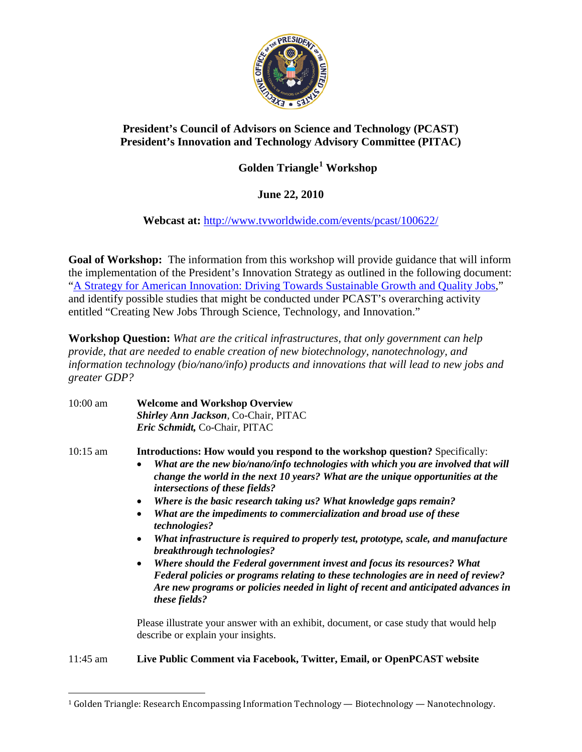

## **President's Council of Advisors on Science and Technology (PCAST) President's Innovation and Technology Advisory Committee (PITAC)**

## **Golden Triangle[1](#page-0-0) Workshop**

## **June 22, 2010**

**Webcast at:** <http://www.tvworldwide.com/events/pcast/100622/>

**Goal of Workshop:** The information from this workshop will provide guidance that will inform the implementation of the President's Innovation Strategy as outlined in the following document: ["A Strategy for American Innovation: Driving Towards Sustainable Growth and Quality Jobs,](http://www.whitehouse.gov/administration/eop/nec/StrategyforAmericanInnovation/)" and identify possible studies that might be conducted under PCAST's overarching activity entitled "Creating New Jobs Through Science, Technology, and Innovation."

**Workshop Question:** *What are the critical infrastructures, that only government can help provide, that are needed to enable creation of new biotechnology, nanotechnology, and information technology (bio/nano/info) products and innovations that will lead to new jobs and greater GDP?*

10:00 am **Welcome and Workshop Overview** *Shirley Ann Jackson*, Co-Chair, PITAC *Eric Schmidt,* Co-Chair, PITAC

10:15 am **Introductions: How would you respond to the workshop question?** Specifically:

- *What are the new bio/nano/info technologies with which you are involved that will change the world in the next 10 years? What are the unique opportunities at the intersections of these fields?*
- *Where is the basic research taking us? What knowledge gaps remain?*
- *What are the impediments to commercialization and broad use of these technologies?*
- *What infrastructure is required to properly test, prototype, scale, and manufacture breakthrough technologies?*
- *Where should the Federal government invest and focus its resources? What Federal policies or programs relating to these technologies are in need of review? Are new programs or policies needed in light of recent and anticipated advances in these fields?*

Please illustrate your answer with an exhibit, document, or case study that would help describe or explain your insights.

11:45 am **Live Public Comment via Facebook, Twitter, Email, or OpenPCAST website**

<span id="page-0-0"></span> <sup>1</sup> Golden Triangle: Research Encompassing Information Technology — Biotechnology — Nanotechnology.